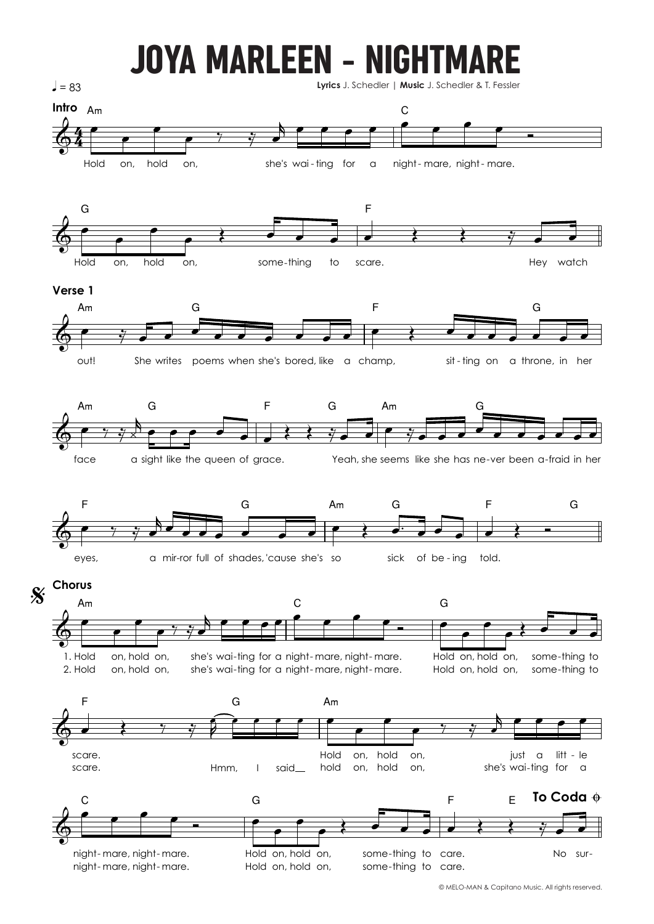## JOYA MARLEEN - NIGHTMARE



© MELO-MAN & Capitano Music. All rights reserved.